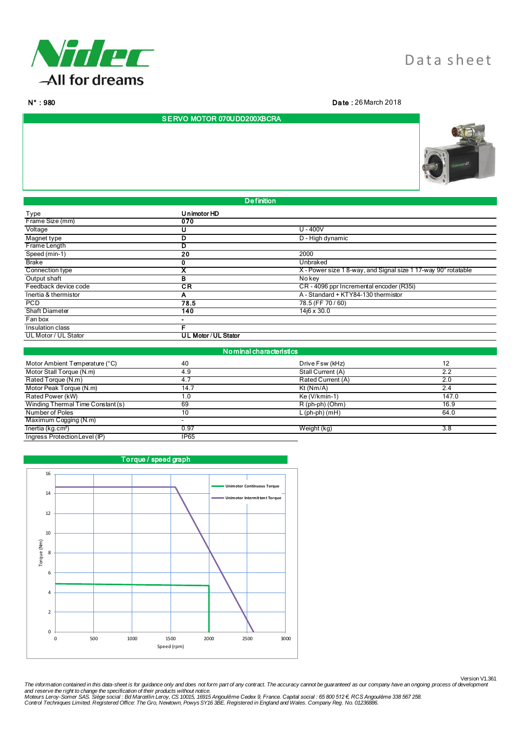

N° : 980 Da te : 26 March 2018

## SERVO MOTOR 070UDD200XBCRA



Type Unimotor HD<br>
Frame Size (mm) 2020<br>
2020 Frame Size (mm) 07<br>
Voltage 070 Voltage U U - 400V Magnet type **D** D - High dynamic<br> **D** D - High dynamic<br> **D** D - High dynamic Frame Length **D**<br>Speed (min-1) 20 Speed (min-1) 20 2000 Brake 0 Unbraked X X X X - Power size 1 8-way, and Signal size 1 17-way 90° rotatable<br>
No key Connection type<br>
Output shaft B<br>
Feedback device code CR Feedback device code **CR** CR - 4096 ppr Incremental encoder (R35i)<br>
Thertia & thermistor **CR A** A - Standard + KTY84-130 thermistor A A B A - Standard + KTY84-130 thermistor

| <b>PCD</b>            | 78.5                                                                                                            | 78.5 (FF 70 / 60) |
|-----------------------|-----------------------------------------------------------------------------------------------------------------|-------------------|
| <b>Shaft Diameter</b> | 140                                                                                                             | 14i6 x 30.0       |
| Fan box               | $\overline{\phantom{a}}$                                                                                        |                   |
| Insulation class      |                                                                                                                 |                   |
| UL Motor / UL Stator  | UL Motor/UL Stator                                                                                              |                   |
|                       | the contract of the contract of the contract of the contract of the contract of the contract of the contract of |                   |

**De finition** 

| No minal characteristics          |             |                   |       |  |
|-----------------------------------|-------------|-------------------|-------|--|
| Motor Ambient Temperature (°C)    | 40          | Drive Fsw (kHz)   | 12    |  |
| Motor Stall Torque (N.m)          | 4.9         | Stall Current (A) | 2.2   |  |
| Rated Torque (N.m)                |             | Rated Current (A) | 2.0   |  |
| Motor Peak Torque (N.m)           | 14.7        | Kt(Nm/A)          | 2.4   |  |
| Rated Power (kW)                  | 1.0         | Ke (V/kmin-1)     | 147.0 |  |
| Winding Thermal Time Constant (s) | 69          | $R$ (ph-ph) (Ohm) | 16.9  |  |
| Number of Poles                   | 10          | $L$ (ph-ph) (mH)  | 64.0  |  |
| Maximum Cogging (N.m)             |             |                   |       |  |
| Inertia (kg.cm <sup>2</sup> )     | 0.97        | Weight (kg)       | 3.8   |  |
| Ingress Protection Level (IP)     | <b>IP65</b> |                   |       |  |



Version V1.361 The information contained in this data-sheet is for guidance only and does not form part of any contract. The accuracy cannot be guaranteed as our company have an ongoing process of development<br>And reserve the right to cha